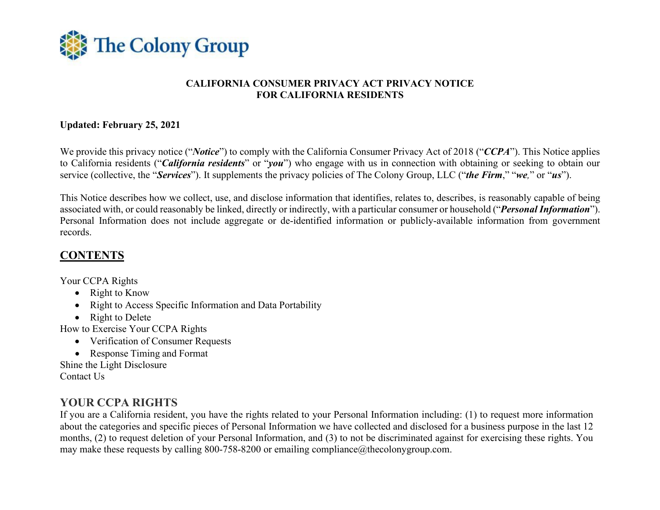

### **CALIFORNIA CONSUMER PRIVACY ACT PRIVACY NOTICE FOR CALIFORNIA RESIDENTS**

### **Updated: February 25, 2021**

We provide this privacy notice ("*Notice*") to comply with the California Consumer Privacy Act of 2018 ("*CCPA*"). This Notice applies to California residents ("*California residents*" or "*you*") who engage with us in connection with obtaining or seeking to obtain our service (collective, the "*Services*"). It supplements the privacy policies of The Colony Group, LLC ("*the Firm*," "*we,*" or "*us*").

This Notice describes how we collect, use, and disclose information that identifies, relates to, describes, is reasonably capable of being associated with, or could reasonably be linked, directly or indirectly, with a particular consumer or household ("*Personal Information*"). Personal Information does not include aggregate or de-identified information or publicly-available information from government records.

# **CONTENTS**

Your [CCPA Rights](#page-0-0)

- Right [to Know](#page-1-0)
- Right to Access [Specific Information](#page-3-0) and Data Portability
- Right [to Delete](#page-4-0)

How to Exercise Your [CCPA Rights](#page-4-1)

- [Verification](#page-4-2) of Consumer Requests
- [Response](#page-4-3) Timing and Format

Shine the [Light Disclosure](#page-5-0) [Contact](#page-5-1) Us

# <span id="page-0-0"></span>**YOUR CCPA RIGHTS**

If you are a California resident, you have the rights related to your Personal Information including: (1) to request more information about the categories and specific pieces of Personal Information we have collected and disclosed for a business purpose in the last 12 months, (2) to request deletion of your Personal Information, and (3) to not be discriminated against for exercising these rights. You may make these requests by calling 800-758-8200 or emailing compliance@thecolonygroup.com.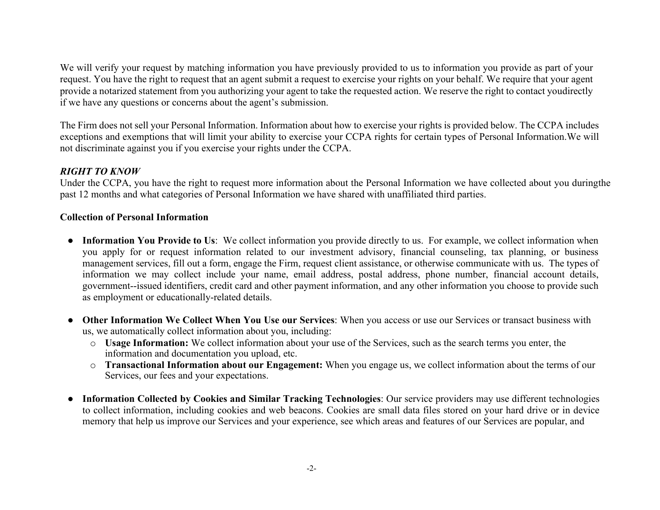We will verify your request by matching information you have previously provided to us to information you provide as part of your request. You have the right to request that an agent submit a request to exercise your rights on your behalf. We require that your agent provide a notarized statement from you authorizing your agent to take the requested action. We reserve the right to contact youdirectly if we have any questions or concerns about the agent's submission.

The Firm does not sell your Personal Information. Information about how to exercise your rights is provided below. The CCPA includes exceptions and exemptions that will limit your ability to exercise your CCPA rights for certain types of Personal Information.We will not discriminate against you if you exercise your rights under the CCPA.

### <span id="page-1-0"></span>*RIGHT TO KNOW*

Under the CCPA, you have the right to request more information about the Personal Information we have collected about you duringthe past 12 months and what categories of Personal Information we have shared with unaffiliated third parties.

#### **Collection of Personal Information**

- **Information You Provide to Us**: We collect information you provide directly to us. For example, we collect information when you apply for or request information related to our investment advisory, financial counseling, tax planning, or business management services, fill out a form, engage the Firm, request client assistance, or otherwise communicate with us. The types of information we may collect include your name, email address, postal address, phone number, financial account details, government--issued identifiers, credit card and other payment information, and any other information you choose to provide such as employment or educationally-related details.
- **Other Information We Collect When You Use our Services**: When you access or use our Services or transact business with us, we automatically collect information about you, including:
	- o **Usage Information:** We collect information about your use of the Services, such as the search terms you enter, the information and documentation you upload, etc.
	- o **Transactional Information about our Engagement:** When you engage us, we collect information about the terms of our Services, our fees and your expectations.
- **Information Collected by Cookies and Similar Tracking Technologies**: Our service providers may use different technologies to collect information, including cookies and web beacons. Cookies are small data files stored on your hard drive or in device memory that help us improve our Services and your experience, see which areas and features of our Services are popular, and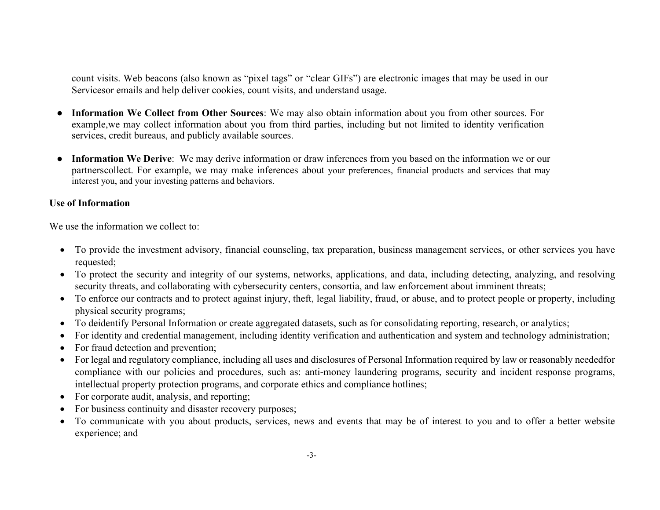count visits. Web beacons (also known as "pixel tags" or "clear GIFs") are electronic images that may be used in our Servicesor emails and help deliver cookies, count visits, and understand usage.

- **Information We Collect from Other Sources**: We may also obtain information about you from other sources. For example,we may collect information about you from third parties, including but not limited to identity verification services, credit bureaus, and publicly available sources.
- **Information We Derive**: We may derive information or draw inferences from you based on the information we or our partnerscollect. For example, we may make inferences about your preferences, financial products and services that may interest you, and your investing patterns and behaviors.

#### **Use of Information**

We use the information we collect to:

- To provide the investment advisory, financial counseling, tax preparation, business management services, or other services you have requested;
- To protect the security and integrity of our systems, networks, applications, and data, including detecting, analyzing, and resolving security threats, and collaborating with cybersecurity centers, consortia, and law enforcement about imminent threats;
- To enforce our contracts and to protect against injury, theft, legal liability, fraud, or abuse, and to protect people or property, including physical security programs;
- To deidentify Personal Information or create aggregated datasets, such as for consolidating reporting, research, or analytics;
- For identity and credential management, including identity verification and authentication and system and technology administration;
- For fraud detection and prevention;
- For legal and regulatory compliance, including all uses and disclosures of Personal Information required by law or reasonably neededfor compliance with our policies and procedures, such as: anti-money laundering programs, security and incident response programs, intellectual property protection programs, and corporate ethics and compliance hotlines;
- For corporate audit, analysis, and reporting;
- For business continuity and disaster recovery purposes;
- To communicate with you about products, services, news and events that may be of interest to you and to offer a better website experience; and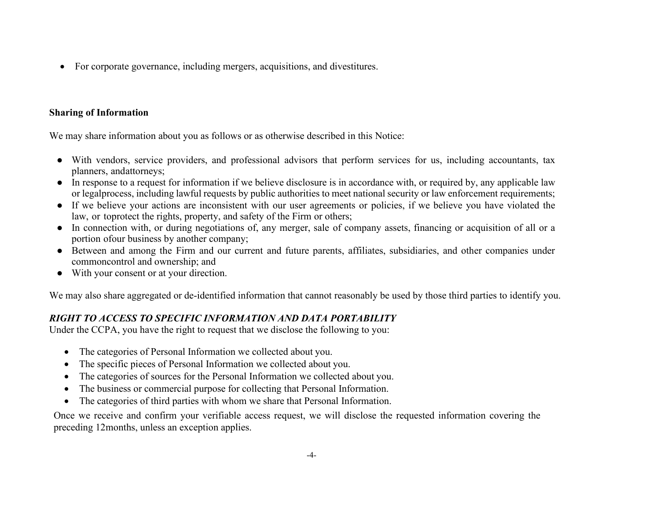• For corporate governance, including mergers, acquisitions, and divestitures.

### **Sharing of Information**

We may share information about you as follows or as otherwise described in this Notice:

- With vendors, service providers, and professional advisors that perform services for us, including accountants, tax planners, andattorneys;
- In response to a request for information if we believe disclosure is in accordance with, or required by, any applicable law or legalprocess, including lawful requests by public authorities to meet national security or law enforcement requirements;
- If we believe your actions are inconsistent with our user agreements or policies, if we believe you have violated the law, or toprotect the rights, property, and safety of the Firm or others;
- In connection with, or during negotiations of, any merger, sale of company assets, financing or acquisition of all or a portion ofour business by another company;
- Between and among the Firm and our current and future parents, affiliates, subsidiaries, and other companies under commoncontrol and ownership; and
- With your consent or at your direction.

We may also share aggregated or de-identified information that cannot reasonably be used by those third parties to identify you.

## <span id="page-3-0"></span>*RIGHT TO ACCESS TO SPECIFIC INFORMATION AND DATA PORTABILITY*

Under the CCPA, you have the right to request that we disclose the following to you:

- The categories of Personal Information we collected about you.
- The specific pieces of Personal Information we collected about you.
- The categories of sources for the Personal Information we collected about you.
- The business or commercial purpose for collecting that Personal Information.
- The categories of third parties with whom we share that Personal Information.

Once we receive and confirm your verifiable access request, we will disclose the requested information covering the preceding 12months, unless an exception applies.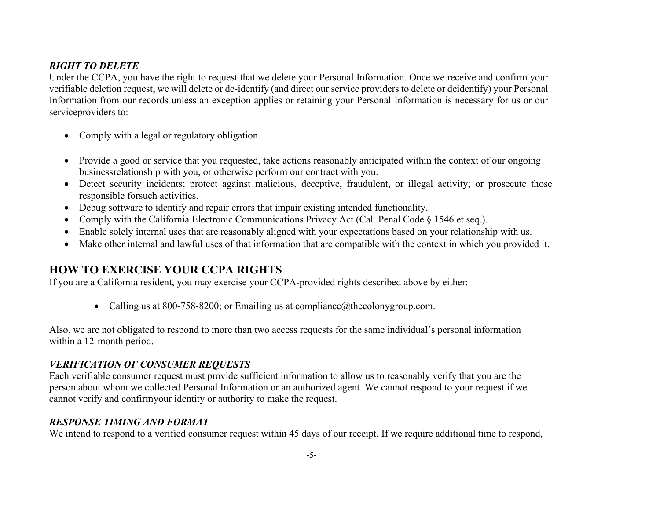### <span id="page-4-0"></span>*RIGHT TO DELETE*

Under the CCPA, you have the right to request that we delete your Personal Information. Once we receive and confirm your verifiable deletion request, we will delete or de-identify (and direct our service providers to delete or deidentify) your Personal Information from our records unless an exception applies or retaining your Personal Information is necessary for us or our serviceproviders to:

- Comply with a legal or regulatory obligation.
- Provide a good or service that you requested, take actions reasonably anticipated within the context of our ongoing businessrelationship with you, or otherwise perform our contract with you.
- Detect security incidents; protect against malicious, deceptive, fraudulent, or illegal activity; or prosecute those responsible forsuch activities.
- Debug software to identify and repair errors that impair existing intended functionality.
- Comply with the California Electronic Communications Privacy Act (Cal. Penal Code § 1546 et seq.).
- Enable solely internal uses that are reasonably aligned with your expectations based on your relationship with us.
- Make other internal and lawful uses of that information that are compatible with the context in which you provided it.

# <span id="page-4-1"></span>**HOW TO EXERCISE YOUR CCPA RIGHTS**

If you are a California resident, you may exercise your CCPA-provided rights described above by either:

• Calling us at 800-758-8200; or Emailing us at compliance  $@$  the colony group.com.

Also, we are not obligated to respond to more than two access requests for the same individual's personal information within a 12-month period.

## <span id="page-4-2"></span>*VERIFICATION OF CONSUMER REQUESTS*

Each verifiable consumer request must provide sufficient information to allow us to reasonably verify that you are the person about whom we collected Personal Information or an authorized agent. We cannot respond to your request if we cannot verify and confirmyour identity or authority to make the request.

### <span id="page-4-3"></span>*RESPONSE TIMING AND FORMAT*

We intend to respond to a verified consumer request within 45 days of our receipt. If we require additional time to respond,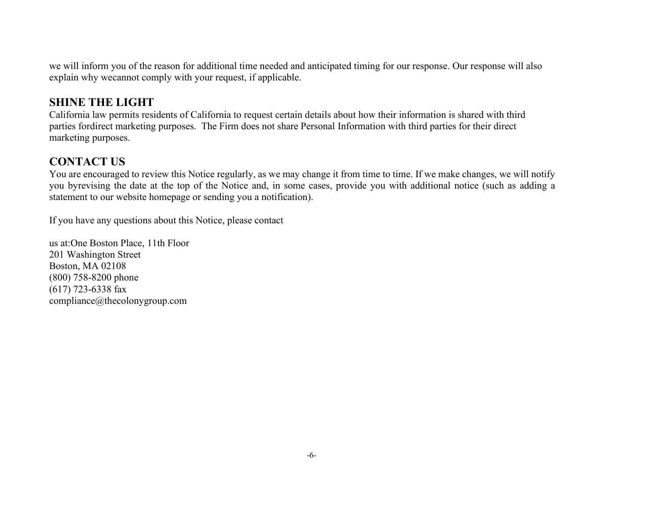we will inform you of the reason for additional time needed and anticipated timing for our response. Our response will also explain why wecannot comply with your request, if applicable.

# <span id="page-5-0"></span>**SHINE THE LIGHT**

California law permits residents of California to request certain details about how their information is shared with third parties fordirect marketing purposes. The Firm does not share Personal Information with third parties for their direct marketing purposes.

# <span id="page-5-1"></span>**CONTACT US**

You are encouraged to review this Notice regularly, as we may change it from time to time. If we make changes, we will notify you byrevising the date at the top of the Notice and, in some cases, provide you with additional notice (such as adding a statement to our website homepage or sending you a notification).

If you have any questions about this Notice, please contact

us at:One Boston Place, 11th Floor 201 Washington Street Boston, MA 02108 (800) 758-8200 phone (617) 723-6338 fax [compliance@thecolonygroup.com](mailto:compliance@thecolonygroup.com)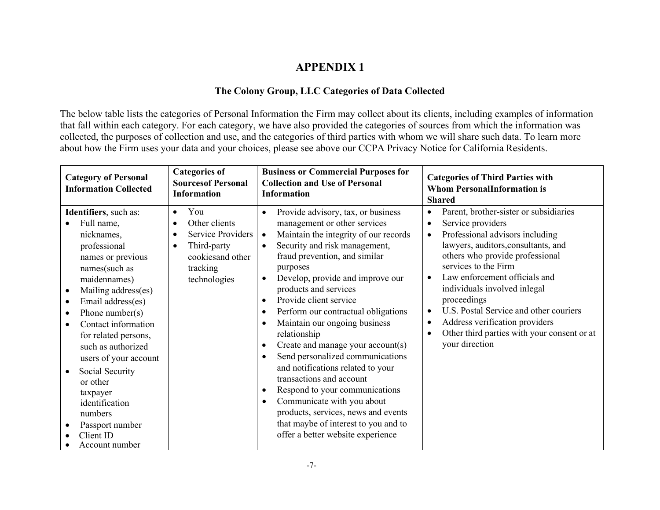# **APPENDIX 1**

### **The Colony Group, LLC Categories of Data Collected**

The below table lists the categories of Personal Information the Firm may collect about its clients, including examples of information that fall within each category. For each category, we have also provided the categories of sources from which the information was collected, the purposes of collection and use, and the categories of third parties with whom we will share such data. To learn more about how the Firm uses your data and your choices, please see above our CCPA Privacy Notice for California Residents.

| <b>Category of Personal</b><br><b>Information Collected</b>                                                                                                                                                                                                                                                                                                                                                                     | <b>Categories of</b><br><b>Sourcesof Personal</b><br><b>Information</b>                                                                                      | <b>Business or Commercial Purposes for</b><br><b>Collection and Use of Personal</b><br><b>Information</b>                                                                                                                                                                                                                                                                                                                                                                                                                                                                                                                                                                                                                                                                                                                             | <b>Categories of Third Parties with</b><br><b>Whom PersonalInformation is</b><br><b>Shared</b>                                                                                                                                                                                                                                                                                                                                                                                                 |
|---------------------------------------------------------------------------------------------------------------------------------------------------------------------------------------------------------------------------------------------------------------------------------------------------------------------------------------------------------------------------------------------------------------------------------|--------------------------------------------------------------------------------------------------------------------------------------------------------------|---------------------------------------------------------------------------------------------------------------------------------------------------------------------------------------------------------------------------------------------------------------------------------------------------------------------------------------------------------------------------------------------------------------------------------------------------------------------------------------------------------------------------------------------------------------------------------------------------------------------------------------------------------------------------------------------------------------------------------------------------------------------------------------------------------------------------------------|------------------------------------------------------------------------------------------------------------------------------------------------------------------------------------------------------------------------------------------------------------------------------------------------------------------------------------------------------------------------------------------------------------------------------------------------------------------------------------------------|
| Identifiers, such as:<br>Full name,<br>nicknames,<br>professional<br>names or previous<br>names(such as<br>maidennames)<br>Mailing address(es)<br>Email address(es)<br>Phone number( $s$ )<br>$\bullet$<br>Contact information<br>for related persons,<br>such as authorized<br>users of your account<br>Social Security<br>or other<br>taxpayer<br>identification<br>numbers<br>Passport number<br>Client ID<br>Account number | You<br>$\bullet$<br>Other clients<br>$\bullet$<br>Service Providers<br>$\bullet$<br>Third-party<br>$\bullet$<br>cookiesand other<br>tracking<br>technologies | Provide advisory, tax, or business<br>$\bullet$<br>management or other services<br>Maintain the integrity of our records<br>$\bullet$<br>Security and risk management,<br>$\bullet$<br>fraud prevention, and similar<br>purposes<br>Develop, provide and improve our<br>٠<br>products and services<br>Provide client service<br>$\bullet$<br>Perform our contractual obligations<br>$\bullet$<br>Maintain our ongoing business<br>$\bullet$<br>relationship<br>Create and manage your account(s)<br>$\bullet$<br>Send personalized communications<br>٠<br>and notifications related to your<br>transactions and account<br>Respond to your communications<br>$\bullet$<br>Communicate with you about<br>$\bullet$<br>products, services, news and events<br>that maybe of interest to you and to<br>offer a better website experience | Parent, brother-sister or subsidiaries<br>$\bullet$<br>Service providers<br>$\bullet$<br>Professional advisors including<br>$\bullet$<br>lawyers, auditors, consultants, and<br>others who provide professional<br>services to the Firm<br>Law enforcement officials and<br>individuals involved inlegal<br>proceedings<br>U.S. Postal Service and other couriers<br>$\bullet$<br>Address verification providers<br>$\bullet$<br>Other third parties with your consent or at<br>your direction |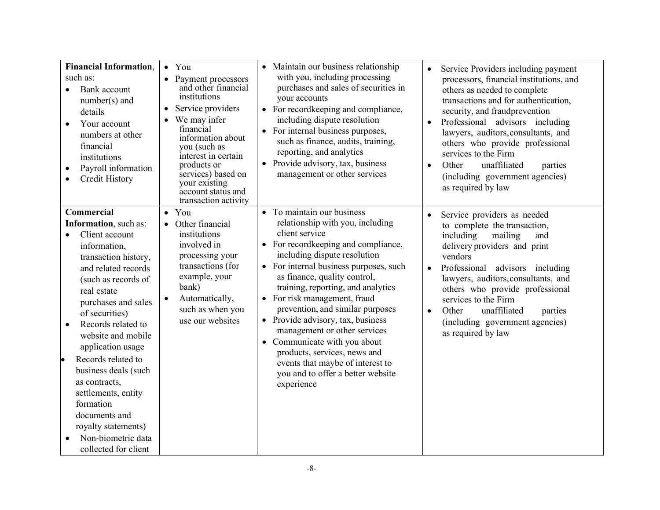| <b>Financial Information,</b><br>such as:<br>Bank account<br>$number(s)$ and<br>details<br>Your account<br>$\bullet$<br>numbers at other<br>financial<br>institutions<br>Payroll information<br>$\bullet$<br>Credit History                                                                                                                                                                                                                                                | $\bullet$ You<br>• Payment processors<br>and other financial<br>institutions<br>Service providers<br>$\bullet$<br>We may infer<br>$\bullet$<br>financial<br>information about<br>you (such as<br>interest in certain<br>products or<br>services) based on<br>your existing<br>account status and<br>transaction activity | • Maintain our business relationship<br>with you, including processing<br>purchases and sales of securities in<br>your accounts<br>• For recordkeeping and compliance,<br>including dispute resolution<br>For internal business purposes,<br>$\bullet$<br>such as finance, audits, training,<br>reporting, and analytics<br>Provide advisory, tax, business<br>$\bullet$<br>management or other services                                                                                                                                                                | Service Providers including payment<br>$\bullet$<br>processors, financial institutions, and<br>others as needed to complete<br>transactions and for authentication,<br>security, and fraudprevention<br>Professional advisors including<br>lawyers, auditors, consultants, and<br>others who provide professional<br>services to the Firm<br>unaffiliated<br>Other<br>parties<br>$\bullet$<br>(including government agencies)<br>as required by law |
|----------------------------------------------------------------------------------------------------------------------------------------------------------------------------------------------------------------------------------------------------------------------------------------------------------------------------------------------------------------------------------------------------------------------------------------------------------------------------|--------------------------------------------------------------------------------------------------------------------------------------------------------------------------------------------------------------------------------------------------------------------------------------------------------------------------|-------------------------------------------------------------------------------------------------------------------------------------------------------------------------------------------------------------------------------------------------------------------------------------------------------------------------------------------------------------------------------------------------------------------------------------------------------------------------------------------------------------------------------------------------------------------------|-----------------------------------------------------------------------------------------------------------------------------------------------------------------------------------------------------------------------------------------------------------------------------------------------------------------------------------------------------------------------------------------------------------------------------------------------------|
| Commercial<br>Information, such as:<br>Client account<br>information,<br>transaction history,<br>and related records<br>(such as records of<br>real estate<br>purchases and sales<br>of securities)<br>Records related to<br>website and mobile<br>application usage<br>Records related to<br>business deals (such<br>as contracts,<br>settlements, entity<br>formation<br>documents and<br>royalty statements)<br>Non-biometric data<br>$\bullet$<br>collected for client | You<br>$\bullet$<br>• Other financial<br>institutions<br>involved in<br>processing your<br>transactions (for<br>example, your<br>bank)<br>Automatically,<br>$\bullet$<br>such as when you<br>use our websites                                                                                                            | • To maintain our business<br>relationship with you, including<br>client service<br>• For recordkeeping and compliance,<br>including dispute resolution<br>• For internal business purposes, such<br>as finance, quality control,<br>training, reporting, and analytics<br>• For risk management, fraud<br>prevention, and similar purposes<br>• Provide advisory, tax, business<br>management or other services<br>• Communicate with you about<br>products, services, news and<br>events that maybe of interest to<br>you and to offer a better website<br>experience | Service providers as needed<br>to complete the transaction,<br>mailing<br>including<br>and<br>delivery providers and print<br>vendors<br>Professional advisors including<br>$\bullet$<br>lawyers, auditors, consultants, and<br>others who provide professional<br>services to the Firm<br>Other<br>unaffiliated<br>parties<br>$\bullet$<br>(including government agencies)<br>as required by law                                                   |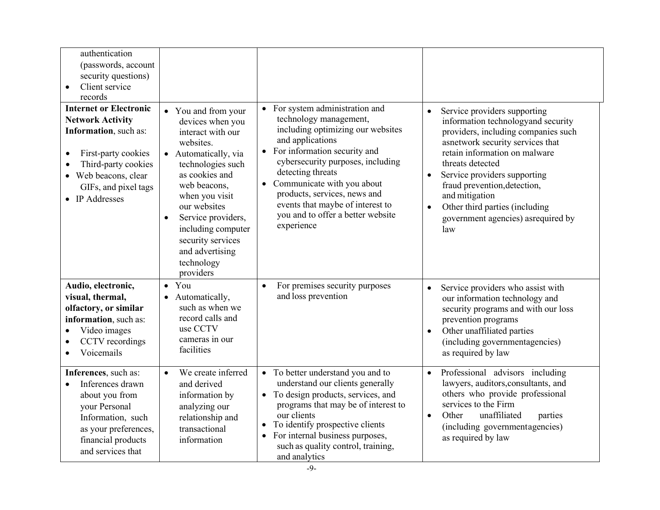| authentication<br>(passwords, account<br>security questions)<br>Client service<br>records<br><b>Internet or Electronic</b>                                                       | • You and from your                                                                                                                                                                                                                                                                             | • For system administration and<br>technology management,                                                                                                                                                                                                                                                                      | $\bullet$<br>Service providers supporting                                                                                                                                                                                                                                                                                                                     |
|----------------------------------------------------------------------------------------------------------------------------------------------------------------------------------|-------------------------------------------------------------------------------------------------------------------------------------------------------------------------------------------------------------------------------------------------------------------------------------------------|--------------------------------------------------------------------------------------------------------------------------------------------------------------------------------------------------------------------------------------------------------------------------------------------------------------------------------|---------------------------------------------------------------------------------------------------------------------------------------------------------------------------------------------------------------------------------------------------------------------------------------------------------------------------------------------------------------|
| <b>Network Activity</b><br>Information, such as:<br>First-party cookies<br>$\bullet$<br>Third-party cookies<br>Web beacons, clear<br>GIFs, and pixel tags<br><b>IP</b> Addresses | devices when you<br>interact with our<br>websites.<br>• Automatically, via<br>technologies such<br>as cookies and<br>web beacons,<br>when you visit<br>our websites<br>Service providers,<br>$\bullet$<br>including computer<br>security services<br>and advertising<br>technology<br>providers | including optimizing our websites<br>and applications<br>For information security and<br>$\bullet$<br>cybersecurity purposes, including<br>detecting threats<br>Communicate with you about<br>$\bullet$<br>products, services, news and<br>events that maybe of interest to<br>you and to offer a better website<br>experience | information technologyand security<br>providers, including companies such<br>asnetwork security services that<br>retain information on malware<br>threats detected<br>Service providers supporting<br>$\bullet$<br>fraud prevention, detection,<br>and mitigation<br>Other third parties (including<br>$\bullet$<br>government agencies) asrequired by<br>law |
| Audio, electronic,<br>visual, thermal,<br>olfactory, or similar<br>information, such as:<br>Video images<br>CCTV recordings<br>Voicemails                                        | You<br>$\bullet$<br>Automatically,<br>$\bullet$<br>such as when we<br>record calls and<br>use CCTV<br>cameras in our<br>facilities                                                                                                                                                              | For premises security purposes<br>$\bullet$<br>and loss prevention                                                                                                                                                                                                                                                             | Service providers who assist with<br>$\bullet$<br>our information technology and<br>security programs and with our loss<br>prevention programs<br>Other unaffiliated parties<br>$\bullet$<br>(including governmentagencies)<br>as required by law                                                                                                             |
| Inferences, such as:<br>Inferences drawn<br>about you from<br>your Personal<br>Information, such<br>as your preferences,<br>financial products<br>and services that              | We create inferred<br>$\bullet$<br>and derived<br>information by<br>analyzing our<br>relationship and<br>transactional<br>information                                                                                                                                                           | • To better understand you and to<br>understand our clients generally<br>To design products, services, and<br>programs that may be of interest to<br>our clients<br>• To identify prospective clients<br>• For internal business purposes,<br>such as quality control, training,<br>and analytics                              | Professional advisors including<br>$\bullet$<br>lawyers, auditors, consultants, and<br>others who provide professional<br>services to the Firm<br>Other<br>unaffiliated<br>$\bullet$<br>parties<br>(including governmentagencies)<br>as required by law                                                                                                       |